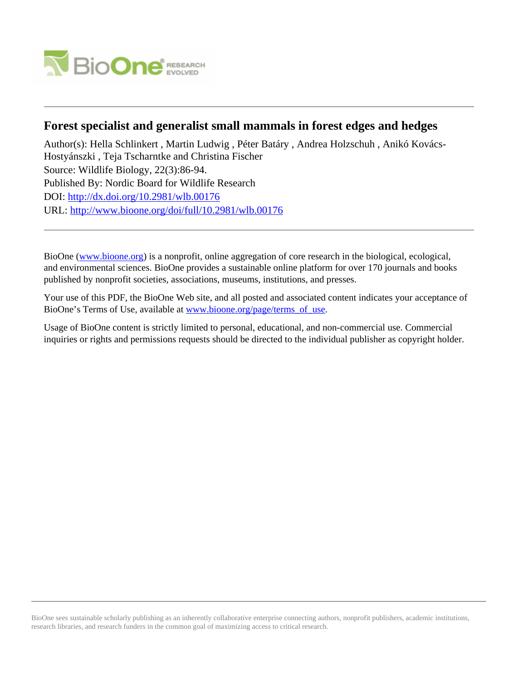

## **Forest specialist and generalist small mammals in forest edges and hedges**

Author(s): Hella Schlinkert , Martin Ludwig , Péter Batáry , Andrea Holzschuh , Anikó Kovács-Hostyánszki , Teja Tscharntke and Christina Fischer Source: Wildlife Biology, 22(3):86-94. Published By: Nordic Board for Wildlife Research DOI:<http://dx.doi.org/10.2981/wlb.00176> URL: <http://www.bioone.org/doi/full/10.2981/wlb.00176>

BioOne [\(www.bioone.org\)](http://www.bioone.org) is a nonprofit, online aggregation of core research in the biological, ecological, and environmental sciences. BioOne provides a sustainable online platform for over 170 journals and books published by nonprofit societies, associations, museums, institutions, and presses.

Your use of this PDF, the BioOne Web site, and all posted and associated content indicates your acceptance of BioOne's Terms of Use, available at [www.bioone.org/page/terms\\_of\\_use.](http://www.bioone.org/page/terms_of_use)

Usage of BioOne content is strictly limited to personal, educational, and non-commercial use. Commercial inquiries or rights and permissions requests should be directed to the individual publisher as copyright holder.

BioOne sees sustainable scholarly publishing as an inherently collaborative enterprise connecting authors, nonprofit publishers, academic institutions, research libraries, and research funders in the common goal of maximizing access to critical research.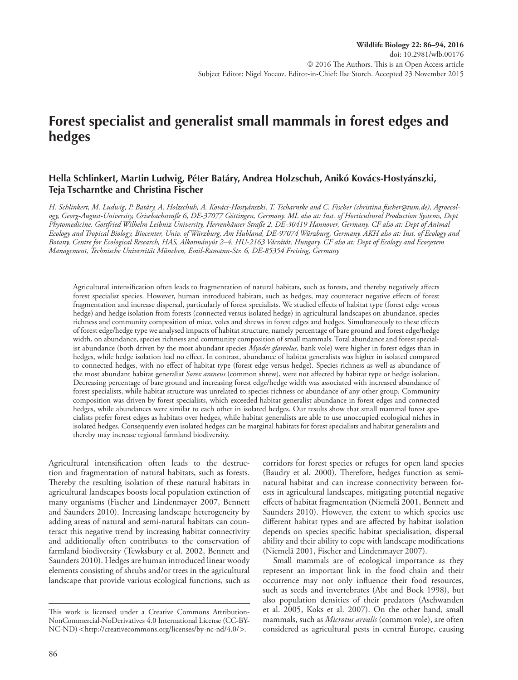# **Forest specialist and generalist small mammals in forest edges and hedges**

#### **Hella Schlinkert, Martin Ludwig, Péter Batáry, Andrea Holzschuh, Anikó Kovács-Hostyánszki, Teja Tscharntke and Christina Fischer**

*H. Schlinkert, M. Ludwig, P. Batáry, A. Holzschuh, A. Kovács-Hostyánszki, T. Tscharntke and C. Fischer (christina.fischer@tum.de), Agroecology, Georg-August-University, Grisebachstraße 6, DE-37077 Göttingen, Germany. ML also at: Inst. of Horticultural Production Systems, Dept Phytomedicine, Gottfried Wilhelm Leibniz University, Herrenhäuser Straße 2, DE-30419 Hannover, Germany. CF also at: Dept of Animal Ecology and Tropical Biology, Biocenter, Univ. of Würzburg, Am Hubland, DE-97074 Würzburg, Germany. AKH also at: Inst. of Ecology and Botany, Centre for Ecological Research, HAS, Alkotmányút 2–4, HU-2163 Vácrátót, Hungary. CF also at: Dept of Ecology and Ecosystem Management, Technische Universität München, Emil-Ramann-Str. 6, DE-85354 Freising, Germany*

Agricultural intensification often leads to fragmentation of natural habitats, such as forests, and thereby negatively affects forest specialist species. However, human introduced habitats, such as hedges, may counteract negative effects of forest fragmentation and increase dispersal, particularly of forest specialists. We studied effects of habitat type (forest edge versus hedge) and hedge isolation from forests (connected versus isolated hedge) in agricultural landscapes on abundance, species richness and community composition of mice, voles and shrews in forest edges and hedges. Simultaneously to these effects of forest edge/hedge type we analysed impacts of habitat structure, namely percentage of bare ground and forest edge/hedge width, on abundance, species richness and community composition of small mammals. Total abundance and forest specialist abundance (both driven by the most abundant species *Myodes glareolus,* bank vole) were higher in forest edges than in hedges, while hedge isolation had no effect. In contrast, abundance of habitat generalists was higher in isolated compared to connected hedges, with no effect of habitat type (forest edge versus hedge). Species richness as well as abundance of the most abundant habitat generalist *Sorex araneus* (common shrew), were not affected by habitat type or hedge isolation. Decreasing percentage of bare ground and increasing forest edge/hedge width was associated with increased abundance of forest specialists, while habitat structure was unrelated to species richness or abundance of any other group. Community composition was driven by forest specialists, which exceeded habitat generalist abundance in forest edges and connected hedges, while abundances were similar to each other in isolated hedges. Our results show that small mammal forest specialists prefer forest edges as habitats over hedges, while habitat generalists are able to use unoccupied ecological niches in isolated hedges. Consequently even isolated hedges can be marginal habitats for forest specialists and habitat generalists and thereby may increase regional farmland biodiversity.

Agricultural intensification often leads to the destruction and fragmentation of natural habitats, such as forests. Thereby the resulting isolation of these natural habitats in agricultural landscapes boosts local population extinction of many organisms (Fischer and Lindenmayer 2007, Bennett and Saunders 2010). Increasing landscape heterogeneity by adding areas of natural and semi-natural habitats can counteract this negative trend by increasing habitat connectivity and additionally often contributes to the conservation of farmland biodiversity (Tewksbury et al. 2002, Bennett and Saunders 2010). Hedges are human introduced linear woody elements consisting of shrubs and/or trees in the agricultural landscape that provide various ecological functions, such as

corridors for forest species or refuges for open land species (Baudry et al. 2000). Therefore, hedges function as seminatural habitat and can increase connectivity between forests in agricultural landscapes, mitigating potential negative effects of habitat fragmentation (Niemelä 2001, Bennett and Saunders 2010). However, the extent to which species use different habitat types and are affected by habitat isolation depends on species specific habitat specialisation, dispersal ability and their ability to cope with landscape modifications (Niemelä 2001, Fischer and Lindenmayer 2007).

Small mammals are of ecological importance as they represent an important link in the food chain and their occurrence may not only influence their food resources, such as seeds and invertebrates (Abt and Bock 1998), but also population densities of their predators (Aschwanden et al. 2005, Koks et al. 2007). On the other hand, small mammals, such as *Microtus arvalis* (common vole), are often considered as agricultural pests in central Europe, causing

This work is licensed under a Creative Commons Attribution-NonCommercial-NoDerivatives 4.0 International License (CC-BY-NC-ND) <http://creativecommons.org/licenses/by-nc-nd/4.0/>.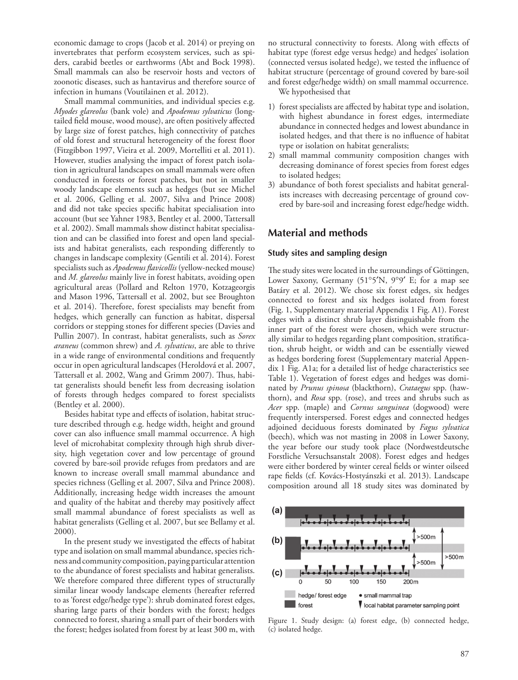economic damage to crops (Jacob et al. 2014) or preying on invertebrates that perform ecosystem services, such as spiders, carabid beetles or earthworms (Abt and Bock 1998). Small mammals can also be reservoir hosts and vectors of zoonotic diseases, such as hantavirus and therefore source of infection in humans (Voutilainen et al. 2012).

Small mammal communities, and individual species e.g. *Myodes glareolus* (bank vole) and *Apodemus sylvaticus* (longtailed field mouse, wood mouse), are often positively affected by large size of forest patches, high connectivity of patches of old forest and structural heterogeneity of the forest floor (Fitzgibbon 1997, Vieira et al. 2009, Mortelliti et al. 2011). However, studies analysing the impact of forest patch isolation in agricultural landscapes on small mammals were often conducted in forests or forest patches, but not in smaller woody landscape elements such as hedges (but see Michel et al. 2006, Gelling et al. 2007, Silva and Prince 2008) and did not take species specific habitat specialisation into account (but see Yahner 1983, Bentley et al. 2000, Tattersall et al. 2002). Small mammals show distinct habitat specialisation and can be classified into forest and open land specialists and habitat generalists, each responding differently to changes in landscape complexity (Gentili et al. 2014). Forest specialists such as *Apodemus flavicollis* (yellow-necked mouse) and *M. glareolus* mainly live in forest habitats, avoiding open agricultural areas (Pollard and Relton 1970, Kotzageorgis and Mason 1996, Tattersall et al. 2002, but see Broughton et al. 2014). Therefore, forest specialists may benefit from hedges, which generally can function as habitat, dispersal corridors or stepping stones for different species (Davies and Pullin 2007). In contrast, habitat generalists, such as *Sorex araneus* (common shrew) and *A. sylvaticus*, are able to thrive in a wide range of environmental conditions and frequently occur in open agricultural landscapes (Heroldová et al. 2007, Tattersall et al. 2002, Wang and Grimm 2007). Thus, habitat generalists should benefit less from decreasing isolation of forests through hedges compared to forest specialists (Bentley et al. 2000).

Besides habitat type and effects of isolation, habitat structure described through e.g. hedge width, height and ground cover can also influence small mammal occurrence. A high level of microhabitat complexity through high shrub diversity, high vegetation cover and low percentage of ground covered by bare-soil provide refuges from predators and are known to increase overall small mammal abundance and species richness (Gelling et al. 2007, Silva and Prince 2008). Additionally, increasing hedge width increases the amount and quality of the habitat and thereby may positively affect small mammal abundance of forest specialists as well as habitat generalists (Gelling et al. 2007, but see Bellamy et al. 2000).

In the present study we investigated the effects of habitat type and isolation on small mammal abundance, species richness and community composition, paying particular attention to the abundance of forest specialists and habitat generalists. We therefore compared three different types of structurally similar linear woody landscape elements (hereafter referred to as 'forest edge/hedge type'): shrub dominated forest edges, sharing large parts of their borders with the forest; hedges connected to forest, sharing a small part of their borders with the forest; hedges isolated from forest by at least 300 m, with no structural connectivity to forests. Along with effects of habitat type (forest edge versus hedge) and hedges' isolation (connected versus isolated hedge), we tested the influence of habitat structure (percentage of ground covered by bare-soil and forest edge/hedge width) on small mammal occurrence. We hypothesised that

- 1) forest specialists are affected by habitat type and isolation, with highest abundance in forest edges, intermediate abundance in connected hedges and lowest abundance in isolated hedges, and that there is no influence of habitat type or isolation on habitat generalists;
- 2) small mammal community composition changes with decreasing dominance of forest species from forest edges to isolated hedges;
- 3) abundance of both forest specialists and habitat generalists increases with decreasing percentage of ground covered by bare-soil and increasing forest edge/hedge width.

### **Material and methods**

#### **Study sites and sampling design**

The study sites were located in the surroundings of Göttingen, Lower Saxony, Germany (51°5′N, 9°9′ E; for a map see Batáry et al. 2012). We chose six forest edges, six hedges connected to forest and six hedges isolated from forest (Fig. 1, Supplementary material Appendix 1 Fig. A1). Forest edges with a distinct shrub layer distinguishable from the inner part of the forest were chosen, which were structurally similar to hedges regarding plant composition, stratification, shrub height, or width and can be essentially viewed as hedges bordering forest (Supplementary material Appendix 1 Fig. A1a; for a detailed list of hedge characteristics see Table 1). Vegetation of forest edges and hedges was dominated by *Prunus spinosa* (blackthorn), *Crataegus* spp. (hawthorn), and *Rosa* spp. (rose), and trees and shrubs such as *Acer* spp. (maple) and *Cornus sanguinea* (dogwood) were frequently interspersed. Forest edges and connected hedges adjoined deciduous forests dominated by *Fagus sylvatica* (beech), which was not masting in 2008 in Lower Saxony, the year before our study took place (Nordwestdeutsche Forstliche Versuchsanstalt 2008). Forest edges and hedges were either bordered by winter cereal fields or winter oilseed rape fields (cf. Kovács-Hostyánszki et al. 2013). Landscape composition around all 18 study sites was dominated by



Figure 1. Study design: (a) forest edge, (b) connected hedge, (c) isolated hedge.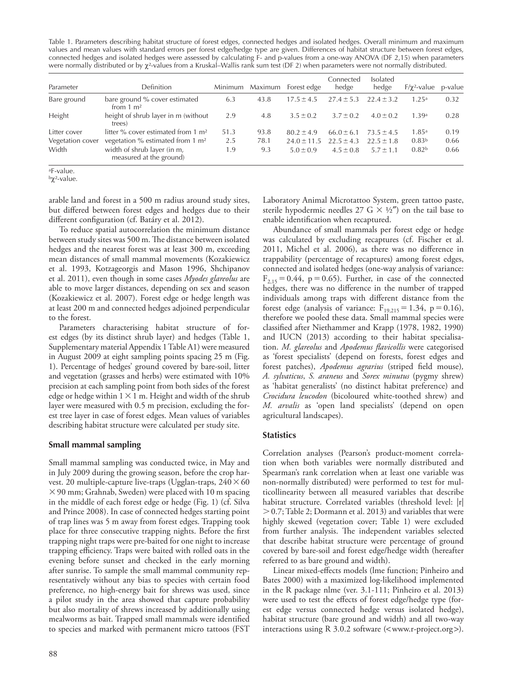Table 1. Parameters describing habitat structure of forest edges, connected hedges and isolated hedges. Overall minimum and maximum values and mean values with standard errors per forest edge/hedge type are given. Differences of habitat structure between forest edges, connected hedges and isolated hedges were assessed by calculating F- and p-values from a one-way ANOVA (DF 2,15) when parameters were normally distributed or by  $\chi^2$ -values from a Kruskal–Wallis rank sum test (DF 2) when parameters were not normally distributed.

| Parameter        | <b>Definition</b>                                      | Minimum | Maximum | Forest edge     | Connected<br>hedge | Isolated<br>hedge | $F/\gamma^2$ -value | p-value |
|------------------|--------------------------------------------------------|---------|---------|-----------------|--------------------|-------------------|---------------------|---------|
| Bare ground      | bare ground % cover estimated<br>from $1 \text{ m}^2$  | 6.3     | 43.8    | $17.5 \pm 4.5$  | $27.4 \pm 5.3$     | $22.4 \pm 3.2$    | 1.25a               | 0.32    |
| Height           | height of shrub layer in m (without<br>trees)          | 2.9     | 4.8     | $3.5 \pm 0.2$   | $3.7 \pm 0.2$      | $4.0 \pm 0.2$     | 1.39a               | 0.28    |
| Litter cover     | litter $\%$ cover estimated from 1 m <sup>2</sup>      | 51.3    | 93.8    | $80.2 \pm 4.9$  | $66.0 \pm 6.1$     | $73.5 \pm 4.5$    | 1.85a               | 0.19    |
| Vegetation cover | vegetation % estimated from 1 m <sup>2</sup>           | 2.5     | 78.1    | $24.0 \pm 11.5$ | $22.5 \pm 4.3$     | $22.5 \pm 1.8$    | 0.83 <sup>b</sup>   | 0.66    |
| Width            | width of shrub layer (in m,<br>measured at the ground) | 1.9     | 9.3     | $5.0 \pm 0.9$   | $4.5 \pm 0.8$      | $5.7 \pm 1.1$     | 0.82 <sup>b</sup>   | 0.66    |

aF-value.

 $\frac{b}{\chi^2}$ -value.

arable land and forest in a 500 m radius around study sites, but differed between forest edges and hedges due to their different configuration (cf. Batáry et al. 2012).

To reduce spatial autocorrelation the minimum distance between study sites was 500 m. The distance between isolated hedges and the nearest forest was at least 300 m, exceeding mean distances of small mammal movements (Kozakiewicz et al. 1993, Kotzageorgis and Mason 1996, Shchipanov et al. 2011), even though in some cases *Myodes glareolus* are able to move larger distances, depending on sex and season (Kozakiewicz et al. 2007). Forest edge or hedge length was at least 200 m and connected hedges adjoined perpendicular to the forest.

Parameters characterising habitat structure of forest edges (by its distinct shrub layer) and hedges (Table 1, Supplementary material Appendix 1 Table A1) were measured in August 2009 at eight sampling points spacing 25 m (Fig. 1). Percentage of hedges' ground covered by bare-soil, litter and vegetation (grasses and herbs) were estimated with 10% precision at each sampling point from both sides of the forest edge or hedge within  $1 \times 1$  m. Height and width of the shrub layer were measured with 0.5 m precision, excluding the forest tree layer in case of forest edges. Mean values of variables describing habitat structure were calculated per study site.

#### **Small mammal sampling**

Small mammal sampling was conducted twice, in May and in July 2009 during the growing season, before the crop harvest. 20 multiple-capture live-traps (Ugglan-traps,  $240 \times 60$  $\times$  90 mm; Grahnab, Sweden) were placed with 10 m spacing in the middle of each forest edge or hedge (Fig. 1) (cf. Silva and Prince 2008). In case of connected hedges starting point of trap lines was 5 m away from forest edges. Trapping took place for three consecutive trapping nights. Before the first trapping night traps were pre-baited for one night to increase trapping efficiency. Traps were baited with rolled oats in the evening before sunset and checked in the early morning after sunrise. To sample the small mammal community representatively without any bias to species with certain food preference, no high-energy bait for shrews was used, since a pilot study in the area showed that capture probability but also mortality of shrews increased by additionally using mealworms as bait. Trapped small mammals were identified to species and marked with permanent micro tattoos (FST

Laboratory Animal Microtattoo System, green tattoo paste, sterile hypodermic needles 27 G  $\times$  ½") on the tail base to enable identification when recaptured.

Abundance of small mammals per forest edge or hedge was calculated by excluding recaptures (cf. Fischer et al. 2011, Michel et al. 2006), as there was no difference in trappability (percentage of recaptures) among forest edges, connected and isolated hedges (one-way analysis of variance:  $F_{2,15}=0.44$ , p=0.65). Further, in case of the connected hedges, there was no difference in the number of trapped individuals among traps with different distance from the forest edge (analysis of variance:  $F_{19,215} = 1.34$ , p = 0.16), therefore we pooled these data. Small mammal species were classified after Niethammer and Krapp (1978, 1982, 1990) and IUCN (2013) according to their habitat specialisation. *M. glareolus* and *Apodemus flavicollis* were categorised as 'forest specialists' (depend on forests, forest edges and forest patches), *Apodemus agrarius* (striped field mouse)*, A. sylvaticus*, *S. araneus* and *Sorex minutus* (pygmy shrew) as 'habitat generalists' (no distinct habitat preference) and *Crocidura leucodon* (bicoloured white-toothed shrew) and *M. arvalis* as 'open land specialists' (depend on open agricultural landscapes).

#### **Statistics**

Correlation analyses (Pearson's product-moment correlation when both variables were normally distributed and Spearman's rank correlation when at least one variable was non-normally distributed) were performed to test for multicollinearity between all measured variables that describe habitat structure. Correlated variables (threshold level: |r|  $0.7$ ; Table 2; Dormann et al. 2013) and variables that were highly skewed (vegetation cover; Table 1) were excluded from further analysis. The independent variables selected that describe habitat structure were percentage of ground covered by bare-soil and forest edge/hedge width (hereafter referred to as bare ground and width).

Linear mixed-effects models (lme function; Pinheiro and Bates 2000) with a maximized log-likelihood implemented in the R package nlme (ver. 3.1-111; Pinheiro et al. 2013) were used to test the effects of forest edge/hedge type (forest edge versus connected hedge versus isolated hedge), habitat structure (bare ground and width) and all two-way interactions using R 3.0.2 software  $\langle \langle$  www.r-project.org  $\rangle$ ).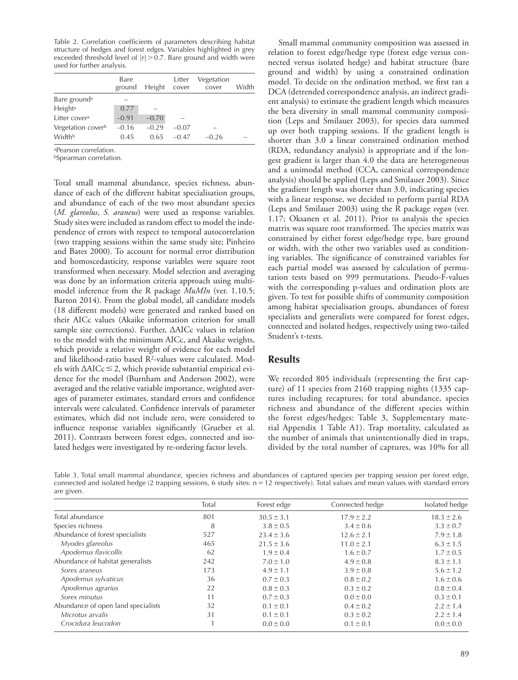Table 2. Correlation coefficients of parameters describing habitat structure of hedges and forest edges. Variables highlighted in grey exceeded threshold level of  $|r| > 0.7$ . Bare ground and width were used for further analysis.

|                               | Bare<br>ground | Height  | Litter<br>cover | Vegetation<br>cover | Width |
|-------------------------------|----------------|---------|-----------------|---------------------|-------|
| Bare ground <sup>a</sup>      |                |         |                 |                     |       |
| Height <sup>a</sup>           | 0.77           |         |                 |                     |       |
| Litter cover <sup>a</sup>     | $-0.91$        | $-0.70$ |                 |                     |       |
| Vegetation cover <sup>b</sup> | $-0.16$        | $-0.29$ | $-0.07$         |                     |       |
| Widthb                        | 0.45           | 0.65    | $-0.47$         | $-0.26$             |       |
|                               |                |         |                 |                     |       |

aPearson correlation.

bSpearman correlation.

Total small mammal abundance, species richness, abundance of each of the different habitat specialisation groups, and abundance of each of the two most abundant species (*M. glareolus*, *S. araneus*) were used as response variables. Study sites were included as random effect to model the independence of errors with respect to temporal autocorrelation (two trapping sessions within the same study site; Pinheiro and Bates 2000). To account for normal error distribution and homoscedasticity, response variables were square root transformed when necessary. Model selection and averaging was done by an information criteria approach using multimodel inference from the R package *MuMIn* (ver. 1.10.5; Barton 2014). From the global model, all candidate models (18 different models) were generated and ranked based on their AICc values (Akaike information criterion for small sample size corrections). Further, ΔAICc values in relation to the model with the minimum AICc, and Akaike weights, which provide a relative weight of evidence for each model and likelihood-ratio based R2-values were calculated. Models with  $\triangle AICc \leq 2$ , which provide substantial empirical evidence for the model (Burnham and Anderson 2002), were averaged and the relative variable importance, weighted averages of parameter estimates, standard errors and confidence intervals were calculated. Confidence intervals of parameter estimates, which did not include zero, were considered to influence response variables significantly (Grueber et al. 2011). Contrasts between forest edges, connected and isolated hedges were investigated by re-ordering factor levels.

Small mammal community composition was assessed in relation to forest edge/hedge type (forest edge versus connected versus isolated hedge) and habitat structure (bare ground and width) by using a constrained ordination model. To decide on the ordination method, we first ran a DCA (detrended correspondence analysis, an indirect gradient analysis) to estimate the gradient length which measures the beta diversity in small mammal community composition (Leps and Smilauer 2003), for species data summed up over both trapping sessions. If the gradient length is shorter than 3.0 a linear constrained ordination method (RDA, redundancy analysis) is appropriate and if the longest gradient is larger than 4.0 the data are heterogeneous and a unimodal method (CCA, canonical correspondence analysis) should be applied (Leps and Smilauer 2003). Since the gradient length was shorter than 3.0, indicating species with a linear response, we decided to perform partial RDA (Leps and Smilauer 2003) using the R package *vegan* (ver. 1.17; Oksanen et al. 2011). Prior to analysis the species matrix was square root transformed. The species matrix was constrained by either forest edge/hedge type, bare ground or width, with the other two variables used as conditioning variables. The significance of constrained variables for each partial model was assessed by calculation of permutation tests based on 999 permutations. Pseudo-F-values with the corresponding p-values and ordination plots are given. To test for possible shifts of community composition among habitat specialisation groups, abundances of forest specialists and generalists were compared for forest edges, connected and isolated hedges, respectively using two-tailed Student's t-tests.

#### **Results**

We recorded 805 individuals (representing the first capture) of 11 species from 2160 trapping nights (1335 captures including recaptures; for total abundance, species richness and abundance of the different species within the forest edges/hedges: Table 3, Supplementary material Appendix 1 Table A1). Trap mortality, calculated as the number of animals that unintentionally died in traps, divided by the total number of captures, was 10% for all

Table 3. Total small mammal abundance, species richness and abundances of captured species per trapping session per forest edge, connected and isolated hedge (2 trapping sessions, 6 study sites:  $n = 12$  respectively). Total values and mean values with standard errors are given.

|                                    | Total | Forest edge    | Connected hedge | Isolated hedge |
|------------------------------------|-------|----------------|-----------------|----------------|
| Total abundance                    | 801   | $30.5 \pm 3.1$ | $17.9 \pm 2.2$  | $18.3 \pm 2.6$ |
| Species richness                   | 8     | $3.8 \pm 0.5$  | $3.4 \pm 0.6$   | $3.3 \pm 0.7$  |
| Abundance of forest specialists    | 527   | $23.4 \pm 3.6$ | $12.6 \pm 2.1$  | $7.9 \pm 1.8$  |
| Myodes glareolus                   | 465   | $21.5 \pm 3.6$ | $11.0 \pm 2.1$  | $6.3 \pm 1.5$  |
| Apodemus flavicollis               | 62    | $1.9 \pm 0.4$  | $1.6 \pm 0.7$   | $1.7 \pm 0.5$  |
| Abundance of habitat generalists   | 242   | $7.0 \pm 1.0$  | $4.9 \pm 0.8$   | $8.3 \pm 1.1$  |
| Sorex araneus                      | 173   | $4.9 \pm 1.1$  | $3.9 \pm 0.8$   | $5.6 \pm 1.2$  |
| Apodemus sylvaticus                | 36    | $0.7 \pm 0.3$  | $0.8 \pm 0.2$   | $1.6 \pm 0.6$  |
| Apodemus agrarius                  | 22    | $0.8 \pm 0.3$  | $0.3 \pm 0.2$   | $0.8 \pm 0.4$  |
| Sorex minutus                      | 11    | $0.7 \pm 0.3$  | $0.0 \pm 0.0$   | $0.3 \pm 0.1$  |
| Abundance of open land specialists | 32    | $0.1 \pm 0.1$  | $0.4 \pm 0.2$   | $2.2 \pm 1.4$  |
| Microtus arvalis                   | 31    | $0.1 \pm 0.1$  | $0.3 \pm 0.2$   | $2.2 \pm 1.4$  |
| Crocidura leucodon                 |       | $0.0 \pm 0.0$  | $0.1 \pm 0.1$   | $0.0 \pm 0.0$  |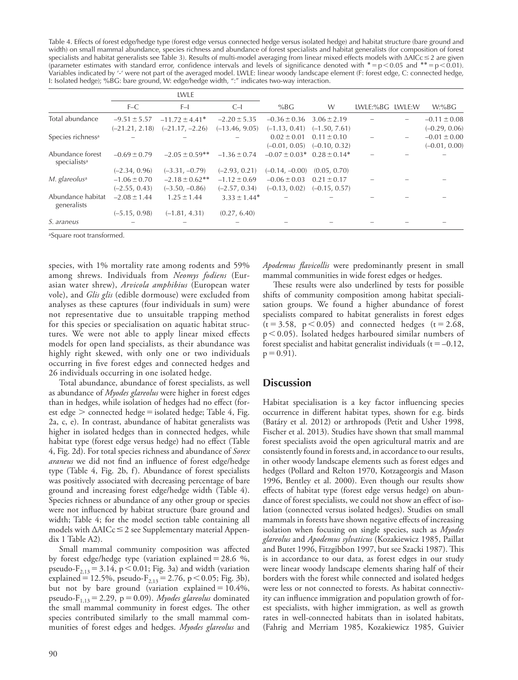Table 4. Effects of forest edge/hedge type (forest edge versus connected hedge versus isolated hedge) and habitat structure (bare ground and width) on small mammal abundance, species richness and abundance of forest specialists and habitat generalists (for composition of forest specialists and habitat generalists see Table 3). Results of multi-model averaging from linear mixed effects models with ΔAICc  $\leq$  2 are given (parameter estimates with standard error, confidence intervals and levels of significance denoted with  $*=p<0.05$  and  $**=p<0.01$ ). Variables indicated by '-' were not part of the averaged model. LWLE: linear woody landscape element (F: forest edge, C: connected hedge, I: Isolated hedge); %BG: bare ground, W: edge/hedge width, ":" indicates two-way interaction.

|                                              | LWLE             |                                |                   |                                      |                 |                 |                 |                  |
|----------------------------------------------|------------------|--------------------------------|-------------------|--------------------------------------|-----------------|-----------------|-----------------|------------------|
|                                              | $F-C$            | $F-I$                          | $C-I$             | % $B$ G                              | W               | LWLE:%BG LWLE:W |                 | $W: \%BG$        |
| Total abundance                              | $-9.51 \pm 5.57$ | $-11.72 \pm 4.41$ <sup>*</sup> | $-2.20 \pm 5.35$  | $-0.36 \pm 0.36$                     | $3.06 \pm 2.19$ |                 |                 | $-0.11 \pm 0.08$ |
|                                              | $(-21.21, 2.18)$ | $(-21.17, -2.26)$              | $(-13.46, 9.05)$  | $(-1.13, 0.41)$ $(-1.50, 7.61)$      |                 |                 |                 | $(-0.29, 0.06)$  |
| Species richness <sup>a</sup>                |                  |                                |                   | $0.02 \pm 0.01$                      | $0.11 \pm 0.10$ |                 | $\qquad \qquad$ | $-0.01 \pm 0.00$ |
|                                              |                  |                                |                   | $(-0.01, 0.05)$ $(-0.10, 0.32)$      |                 |                 |                 | $(-0.01, 0.00)$  |
| Abundance forest<br>specialists <sup>a</sup> | $-0.69 \pm 0.79$ | $-2.05 \pm 0.59$ **            | $-1.36 \pm 0.74$  | $-0.07 \pm 0.03^*$ $0.28 \pm 0.14^*$ |                 |                 |                 |                  |
|                                              | $(-2.34, 0.96)$  | $(-3.31, -0.79)$               | $(-2.93, 0.21)$   | $(-0.14, -0.00)$                     | (0.05, 0.70)    |                 |                 |                  |
| M. glareolus <sup>a</sup>                    | $-1.06 \pm 0.70$ | $-2.18 \pm 0.62$ **            | $-1.12 \pm 0.69$  | $-0.06 \pm 0.03$                     | $0.21 \pm 0.17$ |                 |                 |                  |
|                                              | $(-2.55, 0.43)$  | $(-3.50, -0.86)$               | $(-2.57, 0.34)$   | $(-0.13, 0.02)$ $(-0.15, 0.57)$      |                 |                 |                 |                  |
| Abundance habitat<br>generalists             | $-2.08 \pm 1.44$ | $1.25 \pm 1.44$                | $3.33 \pm 1.44^*$ |                                      |                 |                 |                 |                  |
|                                              | $(-5.15, 0.98)$  | $(-1.81, 4.31)$                | (0.27, 6.40)      |                                      |                 |                 |                 |                  |
| <i>S.</i> araneus                            |                  |                                |                   |                                      |                 |                 |                 |                  |

aSquare root transformed.

species, with 1% mortality rate among rodents and 59% among shrews. Individuals from *Neomys fodiens* (Eurasian water shrew), *Arvicola amphibius* (European water vole), and *Glis glis* (edible dormouse) were excluded from analyses as these captures (four individuals in sum) were not representative due to unsuitable trapping method for this species or specialisation on aquatic habitat structures. We were not able to apply linear mixed effects models for open land specialists, as their abundance was highly right skewed, with only one or two individuals occurring in five forest edges and connected hedges and 26 individuals occurring in one isolated hedge.

Total abundance, abundance of forest specialists, as well as abundance of *Myodes glareolus* were higher in forest edges than in hedges, while isolation of hedges had no effect (forest edge  $>$  connected hedge  $=$  isolated hedge; Table 4, Fig. 2a, c, e). In contrast, abundance of habitat generalists was higher in isolated hedges than in connected hedges, while habitat type (forest edge versus hedge) had no effect (Table 4, Fig. 2d). For total species richness and abundance of *Sorex araneus* we did not find an influence of forest edge/hedge type (Table 4, Fig. 2b, f). Abundance of forest specialists was positively associated with decreasing percentage of bare ground and increasing forest edge/hedge width (Table 4). Species richness or abundance of any other group or species were not influenced by habitat structure (bare ground and width; Table 4; for the model section table containing all models with  $\triangle AICc \leq 2$  see Supplementary material Appendix 1 Table A2).

Small mammal community composition was affected by forest edge/hedge type (variation explained = 28.6 %, pseudo- $F_{2,13}$  = 3.14, p < 0.01; Fig. 3a) and width (variation explained = 12.5%, pseudo- $F_{2,13}$  = 2.76, p < 0.05; Fig. 3b), but not by bare ground (variation explained =  $10.4\%$ , pseudo-F<sub>1,13</sub> = 2.29, p = 0.09). *Myodes glareolus* dominated the small mammal community in forest edges. The other species contributed similarly to the small mammal communities of forest edges and hedges. *Myodes glareolus* and

*Apodemus flavicollis* were predominantly present in small mammal communities in wide forest edges or hedges.

These results were also underlined by tests for possible shifts of community composition among habitat specialisation groups. We found a higher abundance of forest specialists compared to habitat generalists in forest edges  $(t = 3.58, p < 0.05)$  and connected hedges  $(t = 2.68,$  $p < 0.05$ ). Isolated hedges harboured similar numbers of forest specialist and habitat generalist individuals ( $t = -0.12$ ,  $p = 0.91$ ).

#### **Discussion**

Habitat specialisation is a key factor influencing species occurrence in different habitat types, shown for e.g. birds (Batáry et al. 2012) or arthropods (Petit and Usher 1998, Fischer et al. 2013). Studies have shown that small mammal forest specialists avoid the open agricultural matrix and are consistently found in forests and, in accordance to our results, in other woody landscape elements such as forest edges and hedges (Pollard and Relton 1970, Kotzageorgis and Mason 1996, Bentley et al. 2000). Even though our results show effects of habitat type (forest edge versus hedge) on abundance of forest specialists, we could not show an effect of isolation (connected versus isolated hedges). Studies on small mammals in forests have shown negative effects of increasing isolation when focusing on single species, such as *Myodes glareolus* and *Apodemus sylvaticus* (Kozakiewicz 1985, Paillat and Butet 1996, Fitzgibbon 1997, but see Szacki 1987). This is in accordance to our data, as forest edges in our study were linear woody landscape elements sharing half of their borders with the forest while connected and isolated hedges were less or not connected to forests. As habitat connectivity can influence immigration and population growth of forest specialists, with higher immigration, as well as growth rates in well-connected habitats than in isolated habitats, (Fahrig and Merriam 1985, Kozakiewicz 1985, Guivier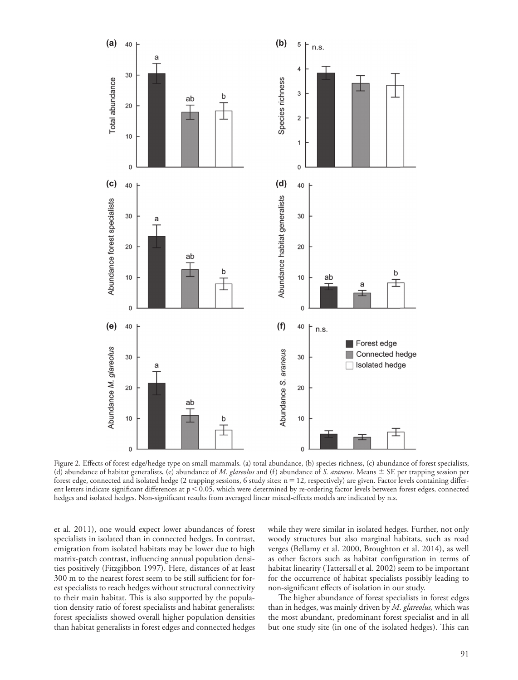

Figure 2. Effects of forest edge/hedge type on small mammals. (a) total abundance, (b) species richness, (c) abundance of forest specialists, (d) abundance of habitat generalists, (e) abundance of *M. glareolus* and (f) abundance of *S. araneus*. Means SE per trapping session per forest edge, connected and isolated hedge (2 trapping sessions, 6 study sites:  $n = 12$ , respectively) are given. Factor levels containing different letters indicate significant differences at  $p < 0.05$ , which were determined by re-ordering factor levels between forest edges, connected hedges and isolated hedges. Non-significant results from averaged linear mixed-effects models are indicated by n.s.

et al. 2011), one would expect lower abundances of forest specialists in isolated than in connected hedges. In contrast, emigration from isolated habitats may be lower due to high matrix-patch contrast, influencing annual population densities positively (Fitzgibbon 1997). Here, distances of at least 300 m to the nearest forest seem to be still sufficient for forest specialists to reach hedges without structural connectivity to their main habitat. This is also supported by the population density ratio of forest specialists and habitat generalists: forest specialists showed overall higher population densities than habitat generalists in forest edges and connected hedges

while they were similar in isolated hedges. Further, not only woody structures but also marginal habitats, such as road verges (Bellamy et al. 2000, Broughton et al. 2014), as well as other factors such as habitat configuration in terms of habitat linearity (Tattersall et al. 2002) seem to be important for the occurrence of habitat specialists possibly leading to non-significant effects of isolation in our study.

The higher abundance of forest specialists in forest edges than in hedges, was mainly driven by *M. glareolus,* which was the most abundant, predominant forest specialist and in all but one study site (in one of the isolated hedges). This can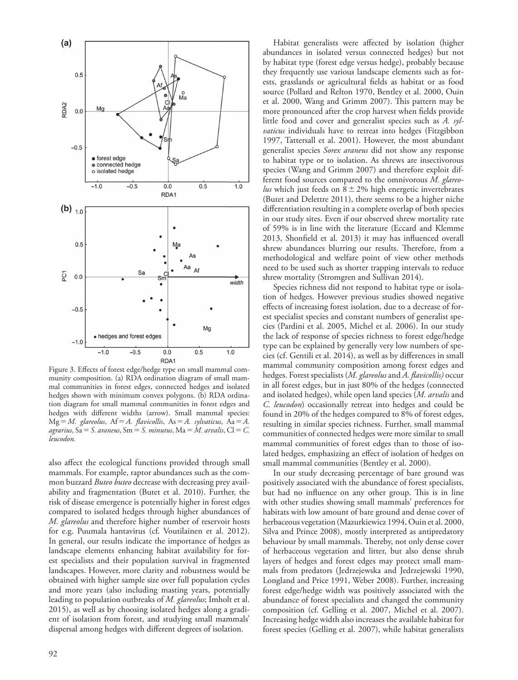

Figure 3. Effects of forest edge/hedge type on small mammal community composition. (a) RDA ordination diagram of small mammal communities in forest edges, connected hedges and isolated hedges shown with minimum convex polygons. (b) RDA ordination diagram for small mammal communities in forest edges and hedges with different widths (arrow). Small mammal species:  $Mg = M.$  glareolus,  $Af = A.$  flavicollis,  $As = A.$  sylvaticus,  $Aa = A.$  $a$ *grarius*, Sa = S. araneus, Sm = S. minutus, Ma = M. arvalis, Cl = C. *leucodon.*

also affect the ecological functions provided through small mammals. For example, raptor abundances such as the common buzzard *Buteo buteo* decrease with decreasing prey availability and fragmentation (Butet et al. 2010). Further, the risk of disease emergence is potentially higher in forest edges compared to isolated hedges through higher abundances of *M. glareolus* and therefore higher number of reservoir hosts for e.g. Puumala hantavirus (cf. Voutilainen et al. 2012). In general, our results indicate the importance of hedges as landscape elements enhancing habitat availability for forest specialists and their population survival in fragmented landscapes. However, more clarity and robustness would be obtained with higher sample size over full population cycles and more years (also including masting years, potentially leading to population outbreaks of *M. glareolus*; Imholt et al. 2015), as well as by choosing isolated hedges along a gradient of isolation from forest, and studying small mammals' dispersal among hedges with different degrees of isolation.

Habitat generalists were affected by isolation (higher abundances in isolated versus connected hedges) but not by habitat type (forest edge versus hedge), probably because they frequently use various landscape elements such as forests, grasslands or agricultural fields as habitat or as food source (Pollard and Relton 1970, Bentley et al. 2000, Ouin et al. 2000, Wang and Grimm 2007). This pattern may be more pronounced after the crop harvest when fields provide little food and cover and generalist species such as *A. sylvaticus* individuals have to retreat into hedges (Fitzgibbon 1997, Tattersall et al. 2001). However, the most abundant generalist species *Sorex araneus* did not show any response to habitat type or to isolation. As shrews are insectivorous species (Wang and Grimm 2007) and therefore exploit different food sources compared to the omnivorous *M. glareolus* which just feeds on  $8 \pm 2\%$  high energetic invertebrates (Butet and Delettre 2011), there seems to be a higher niche differentiation resulting in a complete overlap of both species in our study sites. Even if our observed shrew mortality rate of 59% is in line with the literature (Eccard and Klemme 2013, Shonfield et al. 2013) it may has influenced overall shrew abundances blurring our results. Therefore, from a methodological and welfare point of view other methods need to be used such as shorter trapping intervals to reduce shrew mortality (Stromgren and Sullivan 2014).

Species richness did not respond to habitat type or isolation of hedges. However previous studies showed negative effects of increasing forest isolation, due to a decrease of forest specialist species and constant numbers of generalist species (Pardini et al. 2005, Michel et al. 2006). In our study the lack of response of species richness to forest edge/hedge type can be explained by generally very low numbers of species (cf. Gentili et al. 2014), as well as by differences in small mammal community composition among forest edges and hedges. Forest specialists (*M. glareolus* and *A. flavicollis)* occur in all forest edges, but in just 80% of the hedges (connected and isolated hedges), while open land species (*M. arvalis* and *C. leucodon*) occasionally retreat into hedges and could be found in 20% of the hedges compared to 8% of forest edges, resulting in similar species richness. Further, small mammal communities of connected hedges were more similar to small mammal communities of forest edges than to those of isolated hedges, emphasizing an effect of isolation of hedges on small mammal communities (Bentley et al. 2000).

In our study decreasing percentage of bare ground was positively associated with the abundance of forest specialists, but had no influence on any other group. This is in line with other studies showing small mammals' preferences for habitats with low amount of bare ground and dense cover of herbaceous vegetation (Mazurkiewicz 1994, Ouin et al. 2000, Silva and Prince 2008), mostly interpreted as antipredatory behaviour by small mammals. Thereby, not only dense cover of herbaceous vegetation and litter, but also dense shrub layers of hedges and forest edges may protect small mammals from predators (Jedrzejewska and Jedrzejewski 1990, Longland and Price 1991, Weber 2008). Further, increasing forest edge/hedge width was positively associated with the abundance of forest specialists and changed the community composition (cf. Gelling et al. 2007, Michel et al. 2007). Increasing hedge width also increases the available habitat for forest species (Gelling et al. 2007), while habitat generalists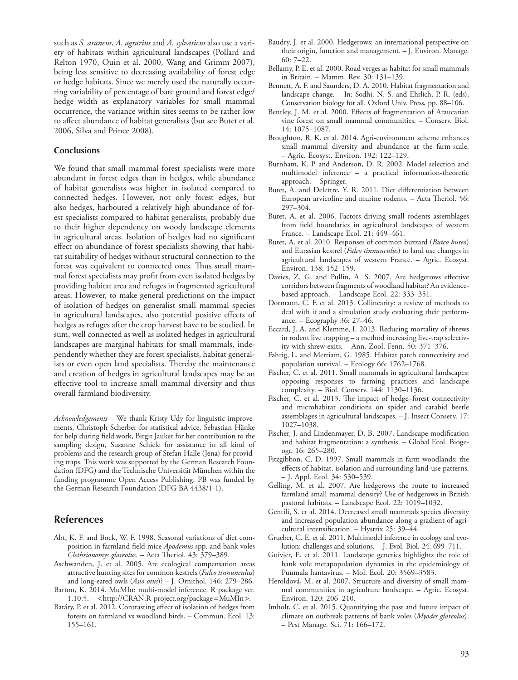such as *S. araneus*, *A. agrarius* and *A. sylvaticus* also use a variety of habitats within agricultural landscapes (Pollard and Relton 1970, Ouin et al. 2000, Wang and Grimm 2007), being less sensitive to decreasing availability of forest edge or hedge habitats. Since we merely used the naturally occurring variability of percentage of bare ground and forest edge/ hedge width as explanatory variables for small mammal occurrence, the variance within sites seems to be rather low to affect abundance of habitat generalists (but see Butet et al. 2006, Silva and Prince 2008).

#### **Conclusions**

We found that small mammal forest specialists were more abundant in forest edges than in hedges, while abundance of habitat generalists was higher in isolated compared to connected hedges. However, not only forest edges, but also hedges, harboured a relatively high abundance of forest specialists compared to habitat generalists, probably due to their higher dependency on woody landscape elements in agricultural areas. Isolation of hedges had no significant effect on abundance of forest specialists showing that habitat suitability of hedges without structural connection to the forest was equivalent to connected ones. Thus small mammal forest specialists may profit from even isolated hedges by providing habitat area and refuges in fragmented agricultural areas. However, to make general predictions on the impact of isolation of hedges on generalist small mammal species in agricultural landscapes, also potential positive effects of hedges as refuges after the crop harvest have to be studied. In sum, well connected as well as isolated hedges in agricultural landscapes are marginal habitats for small mammals, independently whether they are forest specialists, habitat generalists or even open land specialists. Thereby the maintenance and creation of hedges in agricultural landscapes may be an effective tool to increase small mammal diversity and thus overall farmland biodiversity.

*Acknowledgements –* We thank Kristy Udy for linguistic improvements, Christoph Scherber for statistical advice, Sebastian Hänke for help during field work, Birgit Jauker for her contribution to the sampling design, Susanne Schiele for assistance in all kind of problems and the research group of Stefan Halle (Jena) for providing traps. This work was supported by the German Research Foundation (DFG) and the Technische Universität München within the funding programme Open Access Publishing. PB was funded by the German Research Foundation (DFG BA 4438/1-1).

#### **References**

- Abt, K. F. and Bock, W. F. 1998. Seasonal variations of diet composition in farmland field mice *Apodemus* spp. and bank voles *Clethrionomys glareolus*. – Acta Theriol. 43: 379–389.
- Aschwanden, J. et al. 2005. Are ecological compensation areas attractive hunting sites for common kestrels (*Falco tinnunculus*) and long-eared owls (*Asio otus*)? – J. Ornithol. 146: 279–286.
- Barton, K. 2014. MuMIn: multi-model inference. R package ver. 1.10.5. – <http://CRAN.R-project.org/package=MuMIn>.
- Batáry, P. et al. 2012. Contrasting effect of isolation of hedges from forests on farmland vs woodland birds. – Commun. Ecol. 13: 155–161.
- Baudry, J. et al. 2000. Hedgerows: an international perspective on their origin, function and management. – J. Environ. Manage.  $60: 7-22.$
- Bellamy, P. E. et al. 2000. Road verges as habitat for small mammals in Britain. – Mamm. Rev. 30: 131–139.
- Bennett, A. F. and Saunders, D. A. 2010. Habitat fragmentation and landscape change. – In: Sodhi, N. S. and Ehrlich, P. R. (eds), Conservation biology for all. Oxford Univ. Press, pp. 88–106.
- Bentley, J. M. et al. 2000. Effects of fragmentation of Araucarian vine forest on small mammal communities. – Conserv. Biol. 14: 1075–1087.
- Broughton, R. K. et al. 2014. Agri-environment scheme enhances small mammal diversity and abundance at the farm-scale. – Agric. Ecosyst. Environ. 192: 122–129.
- Burnham, K. P. and Anderson, D. R. 2002. Model selection and multimodel inference – a practical information-theoretic approach. – Springer.
- Butet, A. and Delettre, Y. R. 2011. Diet differentiation between European arvicoline and murine rodents. – Acta Theriol. 56: 297–304.
- Butet, A. et al. 2006. Factors driving small rodents assemblages from field boundaries in agricultural landscapes of western France. – Landscape Ecol. 21: 449–461.
- Butet, A. et al. 2010. Responses of common buzzard (*Buteo buteo*) and Eurasian kestrel (*Falco tinnunculus*) to land use changes in agricultural landscapes of western France. – Agric. Ecosyst. Environ. 138: 152–159.
- Davies, Z. G. and Pullin, A. S. 2007. Are hedgerows effective corridors between fragments of woodland habitat? An evidencebased approach. – Landscape Ecol. 22: 333–351.
- Dormann, C. F. et al. 2013. Collinearity: a review of methods to deal with it and a simulation study evaluating their performance. – Ecography 36: 27–46.
- Eccard, J. A. and Klemme, I. 2013. Reducing mortality of shrews in rodent live trapping – a method increasing live-trap selectivity with shrew exits. – Ann. Zool. Fenn. 50: 371–376.
- Fahrig, L. and Merriam, G. 1985. Habitat patch connectivity and population survival. – Ecology 66: 1762–1768.
- Fischer, C. et al. 2011. Small mammals in agricultural landscapes: opposing responses to farming practices and landscape complexity. – Biol. Conserv. 144: 1130–1136.
- Fischer, C. et al. 2013. The impact of hedge–forest connectivity and microhabitat conditions on spider and carabid beetle assemblages in agricultural landscapes. – J. Insect Conserv. 17: 1027–1038.
- Fischer, J. and Lindenmayer, D. B. 2007. Landscape modification and habitat fragmentation: a synthesis. – Global Ecol. Biogeogr. 16: 265–280.
- Fitzgibbon, C. D. 1997. Small mammals in farm woodlands: the effects of habitat, isolation and surrounding land-use patterns. – J. Appl. Ecol. 34: 530–539.
- Gelling, M. et al. 2007. Are hedgerows the route to increased farmland small mammal density? Use of hedgerows in British pastoral habitats. – Landscape Ecol. 22: 1019–1032.
- Gentili, S. et al. 2014. Decreased small mammals species diversity and increased population abundance along a gradient of agricultural intensification. – Hystrix 25: 39–44.
- Grueber, C. E. et al. 2011. Multimodel inference in ecology and evolution: challenges and solutions. – J. Evol. Biol. 24: 699–711.
- Guivier, E. et al. 2011. Landscape genetics highlights the role of bank vole metapopulation dynamics in the epidemiology of Puumala hantavirus. – Mol. Ecol. 20: 3569–3583.
- Heroldová, M. et al. 2007. Structure and diversity of small mammal communities in agriculture landscape. – Agric. Ecosyst. Environ. 120: 206–210.
- Imholt, C. et al. 2015. Quantifying the past and future impact of climate on outbreak patterns of bank voles (*Myodes glareolus*). – Pest Manage. Sci. 71: 166–172.